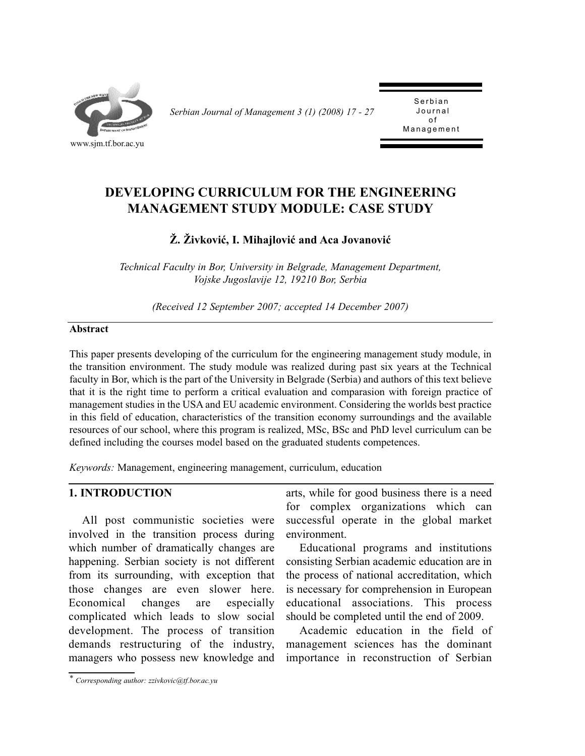

*Serbian Journal of Management 3 (1) (2008) 17 - 27* 

Serbian<br>Journal of Management Management

# **DEVELOPING CURRICULUM FOR THE ENGINEERING MANAGEMENT STUDY MODULE: CASE STUDY**

# **Ž. Živković, I. Mihajlović and Aca Jovanović**

*Technical Faculty in Bor, University in Belgrade, Management Department, Vojske Jugoslavije 12, 19210 Bor, Serbia*

*(Received 12 September 2007; accepted 14 December 2007)*

#### **Abstract**

This paper presents developing of the curriculum for the engineering management study module, in the transition environment. The study module was realized during past six years at the Technical faculty in Bor, which is the part of the University in Belgrade (Serbia) and authors of this text believe that it is the right time to perform a critical evaluation and comparasion with foreign practice of management studies in the USA and EU academic environment. Considering the worlds best practice in this field of education, characteristics of the transition economy surroundings and the available resources of our school, where this program is realized, MSc, BSc and PhD level curriculum can be defined including the courses model based on the graduated students competences.

*Keywords:* Management, engineering management, curriculum, education

### **1. INTRODUCTION**

All post communistic societies were involved in the transition process during which number of dramatically changes are happening. Serbian society is not different from its surrounding, with exception that those changes are even slower here. Economical changes are especially complicated which leads to slow social development. The process of transition demands restructuring of the industry, managers who possess new knowledge and

arts, while for good business there is a need for complex organizations which can successful operate in the global market environment.

Educational programs and institutions consisting Serbian academic education are in the process of national accreditation, which is necessary for comprehension in European educational associations. This process should be completed until the end of 2009.

Academic education in the field of management sciences has the dominant importance in reconstruction of Serbian

*<sup>\*</sup> Corresponding author: zzivkovic@tf.bor.ac.yu*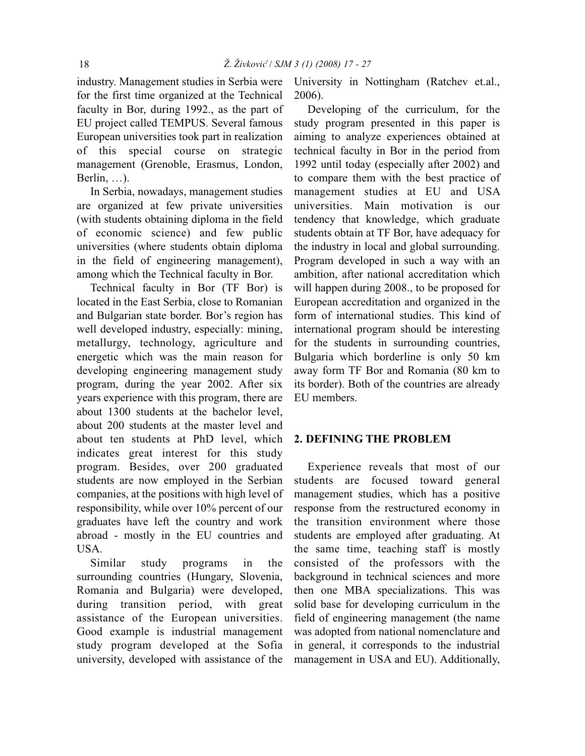industry. Management studies in Serbia were for the first time organized at the Technical faculty in Bor, during 1992., as the part of EU project called TEMPUS. Several famous European universities took part in realization of this special course on strategic management (Grenoble, Erasmus, London, Berlin, …).

In Serbia, nowadays, management studies are organized at few private universities (with students obtaining diploma in the field of economic science) and few public universities (where students obtain diploma in the field of engineering management), among which the Technical faculty in Bor.

Technical faculty in Bor (TF Bor) is located in the East Serbia, close to Romanian and Bulgarian state border. Bor's region has well developed industry, especially: mining, metallurgy, technology, agriculture and energetic which was the main reason for developing engineering management study program, during the year 2002. After six years experience with this program, there are about 1300 students at the bachelor level, about 200 students at the master level and about ten students at PhD level, which indicates great interest for this study program. Besides, over 200 graduated students are now employed in the Serbian companies, at the positions with high level of responsibility, while over 10% percent of our graduates have left the country and work abroad - mostly in the EU countries and USA.

Similar study programs in the surrounding countries (Hungary, Slovenia, Romania and Bulgaria) were developed, during transition period, with great assistance of the European universities. Good example is industrial management study program developed at the Sofia university, developed with assistance of the

University in Nottingham (Ratchev et.al., 2006).

Developing of the curriculum, for the study program presented in this paper is aiming to analyze experiences obtained at technical faculty in Bor in the period from 1992 until today (especially after 2002) and to compare them with the best practice of management studies at EU and USA universities. Main motivation is our tendency that knowledge, which graduate students obtain at TF Bor, have adequacy for the industry in local and global surrounding. Program developed in such a way with an ambition, after national accreditation which will happen during 2008., to be proposed for European accreditation and organized in the form of international studies. This kind of international program should be interesting for the students in surrounding countries, Bulgaria which borderline is only 50 km away form TF Bor and Romania (80 km to its border). Both of the countries are already EU members.

### **2. DEFINING THE PROBLEM**

Experience reveals that most of our students are focused toward general management studies, which has a positive response from the restructured economy in the transition environment where those students are employed after graduating. At the same time, teaching staff is mostly consisted of the professors with the background in technical sciences and more then one MBA specializations. This was solid base for developing curriculum in the field of engineering management (the name was adopted from national nomenclature and in general, it corresponds to the industrial management in USA and EU). Additionally,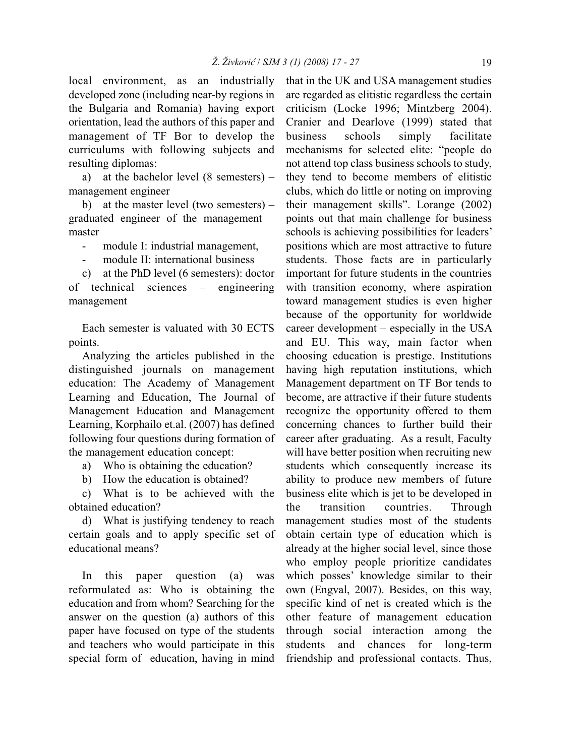local environment, as an industrially developed zone (including near-by regions in the Bulgaria and Romania) having export orientation, lead the authors of this paper and management of TF Bor to develop the curriculums with following subjects and resulting diplomas:

a) at the bachelor level (8 semesters) – management engineer

b) at the master level (two semesters) – graduated engineer of the management – master

- module I: industrial management,

module II: international business

c) at the PhD level (6 semesters): doctor of technical sciences – engineering management

Each semester is valuated with 30 ECTS points.

Analyzing the articles published in the distinguished journals on management education: The Academy of Management Learning and Education, The Journal of Management Education and Management Learning, Korphailo et.al. (2007) has defined following four questions during formation of the management education concept:

a) Who is obtaining the education?

b) How the education is obtained?

c) What is to be achieved with the obtained education?

d) What is justifying tendency to reach certain goals and to apply specific set of educational means?

In this paper question (a) was reformulated as: Who is obtaining the education and from whom? Searching for the answer on the question (a) authors of this paper have focused on type of the students and teachers who would participate in this special form of education, having in mind that in the UK and USA management studies are regarded as elitistic regardless the certain criticism (Locke 1996; Mintzberg 2004). Cranier and Dearlove (1999) stated that business schools simply facilitate mechanisms for selected elite: "people do not attend top class business schools to study, they tend to become members of elitistic clubs, which do little or noting on improving their management skills". Lorange (2002) points out that main challenge for business schools is achieving possibilities for leaders' positions which are most attractive to future students. Those facts are in particularly important for future students in the countries with transition economy, where aspiration toward management studies is even higher because of the opportunity for worldwide career development – especially in the USA and EU. This way, main factor when choosing education is prestige. Institutions having high reputation institutions, which Management department on TF Bor tends to become, are attractive if their future students recognize the opportunity offered to them concerning chances to further build their career after graduating. As a result, Faculty will have better position when recruiting new students which consequently increase its ability to produce new members of future business elite which is jet to be developed in the transition countries. Through management studies most of the students obtain certain type of education which is already at the higher social level, since those who employ people prioritize candidates which posses' knowledge similar to their own (Engval, 2007). Besides, on this way, specific kind of net is created which is the other feature of management education through social interaction among the students and chances for long-term friendship and professional contacts. Thus,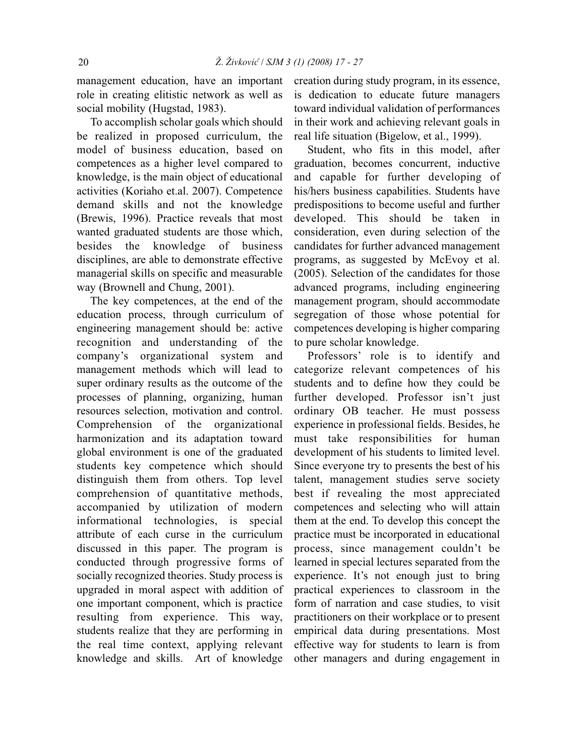management education, have an important role in creating elitistic network as well as social mobility (Hugstad, 1983).

To accomplish scholar goals which should be realized in proposed curriculum, the model of business education, based on competences as a higher level compared to knowledge, is the main object of educational activities (Koriaho et.al. 2007). Competence demand skills and not the knowledge (Brewis, 1996). Practice reveals that most wanted graduated students are those which, besides the knowledge of business disciplines, are able to demonstrate effective managerial skills on specific and measurable way (Brownell and Chung, 2001).

The key competences, at the end of the education process, through curriculum of engineering management should be: active recognition and understanding of the company's organizational system and management methods which will lead to super ordinary results as the outcome of the processes of planning, organizing, human resources selection, motivation and control. Comprehension of the organizational harmonization and its adaptation toward global environment is one of the graduated students key competence which should distinguish them from others. Top level comprehension of quantitative methods, accompanied by utilization of modern informational technologies, is special attribute of each curse in the curriculum discussed in this paper. The program is conducted through progressive forms of socially recognized theories. Study process is upgraded in moral aspect with addition of one important component, which is practice resulting from experience. This way, students realize that they are performing in the real time context, applying relevant knowledge and skills. Art of knowledge

creation during study program, in its essence, is dedication to educate future managers toward individual validation of performances in their work and achieving relevant goals in real life situation (Bigelow, et al., 1999).

Student, who fits in this model, after graduation, becomes concurrent, inductive and capable for further developing of his/hers business capabilities. Students have predispositions to become useful and further developed. This should be taken in consideration, even during selection of the candidates for further advanced management programs, as suggested by McEvoy et al. (2005). Selection of the candidates for those advanced programs, including engineering management program, should accommodate segregation of those whose potential for competences developing is higher comparing to pure scholar knowledge.

Professors' role is to identify and categorize relevant competences of his students and to define how they could be further developed. Professor isn't just ordinary OB teacher. He must possess experience in professional fields. Besides, he must take responsibilities for human development of his students to limited level. Since everyone try to presents the best of his talent, management studies serve society best if revealing the most appreciated competences and selecting who will attain them at the end. To develop this concept the practice must be incorporated in educational process, since management couldn't be learned in special lectures separated from the experience. It's not enough just to bring practical experiences to classroom in the form of narration and case studies, to visit practitioners on their workplace or to present empirical data during presentations. Most effective way for students to learn is from other managers and during engagement in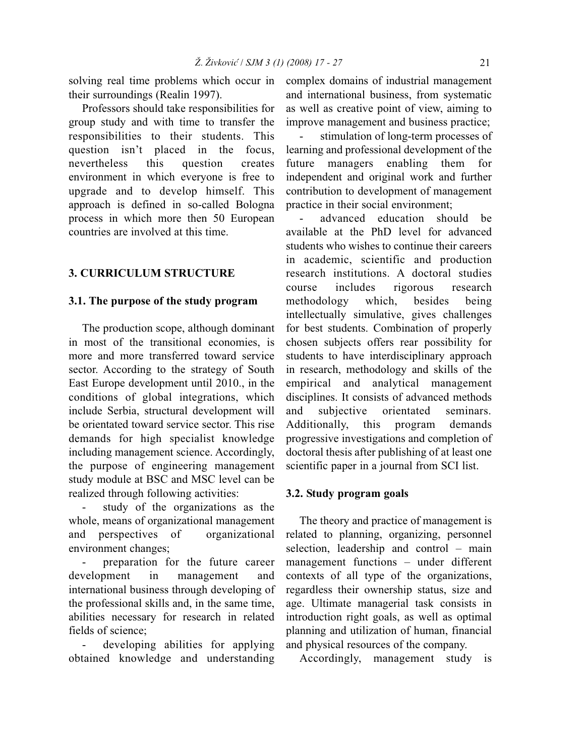solving real time problems which occur in their surroundings (Realin 1997).

Professors should take responsibilities for group study and with time to transfer the responsibilities to their students. This question isn't placed in the focus, nevertheless this question creates environment in which everyone is free to upgrade and to develop himself. This approach is defined in so-called Bologna process in which more then 50 European countries are involved at this time.

# **3. CURRICULUM STRUCTURE**

#### **3.1. The purpose of the study program**

The production scope, although dominant in most of the transitional economies, is more and more transferred toward service sector. According to the strategy of South East Europe development until 2010., in the conditions of global integrations, which include Serbia, structural development will be orientated toward service sector. This rise demands for high specialist knowledge including management science. Accordingly, the purpose of engineering management study module at BSC and MSC level can be realized through following activities:

- study of the organizations as the whole, means of organizational management and perspectives of organizational environment changes;

preparation for the future career development in management and international business through developing of the professional skills and, in the same time, abilities necessary for research in related fields of science;

developing abilities for applying obtained knowledge and understanding complex domains of industrial management and international business, from systematic as well as creative point of view, aiming to improve management and business practice;

stimulation of long-term processes of learning and professional development of the future managers enabling them for independent and original work and further contribution to development of management practice in their social environment;

advanced education should be available at the PhD level for advanced students who wishes to continue their careers in academic, scientific and production research institutions. A doctoral studies course includes rigorous research methodology which, besides being intellectually simulative, gives challenges for best students. Combination of properly chosen subjects offers rear possibility for students to have interdisciplinary approach in research, methodology and skills of the empirical and analytical management disciplines. It consists of advanced methods and subjective orientated seminars. Additionally, this program demands progressive investigations and completion of doctoral thesis after publishing of at least one scientific paper in a journal from SCI list.

### **3.2. Study program goals**

The theory and practice of management is related to planning, organizing, personnel selection, leadership and control – main management functions – under different contexts of all type of the organizations, regardless their ownership status, size and age. Ultimate managerial task consists in introduction right goals, as well as optimal planning and utilization of human, financial and physical resources of the company.

Accordingly, management study is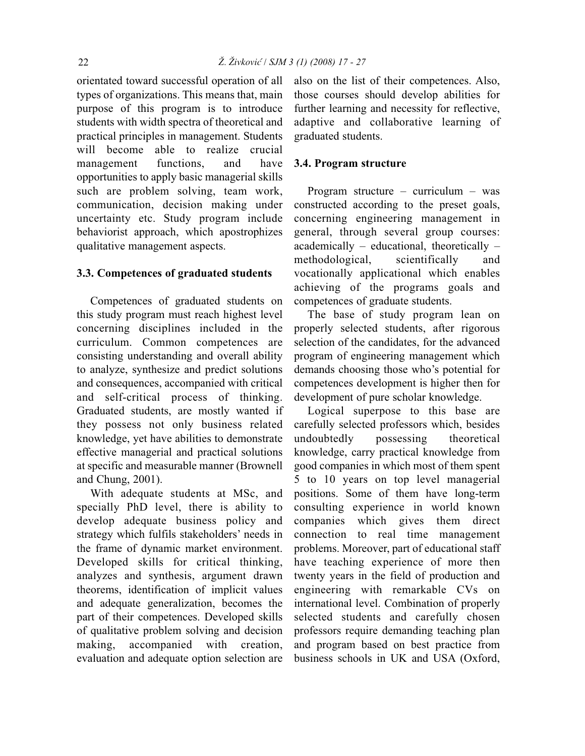orientated toward successful operation of all types of organizations. This means that, main purpose of this program is to introduce students with width spectra of theoretical and practical principles in management. Students will become able to realize crucial management functions, and have opportunities to apply basic managerial skills such are problem solving, team work, communication, decision making under uncertainty etc. Study program include behaviorist approach, which apostrophizes qualitative management aspects.

### **3.3. Competences of graduated students**

Competences of graduated students on this study program must reach highest level concerning disciplines included in the curriculum. Common competences are consisting understanding and overall ability to analyze, synthesize and predict solutions and consequences, accompanied with critical and self-critical process of thinking. Graduated students, are mostly wanted if they possess not only business related knowledge, yet have abilities to demonstrate effective managerial and practical solutions at specific and measurable manner (Brownell and Chung, 2001).

With adequate students at MSc, and specially PhD level, there is ability to develop adequate business policy and strategy which fulfils stakeholders' needs in the frame of dynamic market environment. Developed skills for critical thinking, analyzes and synthesis, argument drawn theorems, identification of implicit values and adequate generalization, becomes the part of their competences. Developed skills of qualitative problem solving and decision making, accompanied with creation, evaluation and adequate option selection are also on the list of their competences. Also, those courses should develop abilities for further learning and necessity for reflective, adaptive and collaborative learning of graduated students.

#### **3.4. Program structure**

Program structure – curriculum – was constructed according to the preset goals, concerning engineering management in general, through several group courses: academically – educational, theoretically – methodological, scientifically and vocationally applicational which enables achieving of the programs goals and competences of graduate students.

The base of study program lean on properly selected students, after rigorous selection of the candidates, for the advanced program of engineering management which demands choosing those who's potential for competences development is higher then for development of pure scholar knowledge.

Logical superpose to this base are carefully selected professors which, besides undoubtedly possessing theoretical knowledge, carry practical knowledge from good companies in which most of them spent 5 to 10 years on top level managerial positions. Some of them have long-term consulting experience in world known companies which gives them direct connection to real time management problems. Moreover, part of educational staff have teaching experience of more then twenty years in the field of production and engineering with remarkable CVs on international level. Combination of properly selected students and carefully chosen professors require demanding teaching plan and program based on best practice from business schools in UK and USA (Oxford,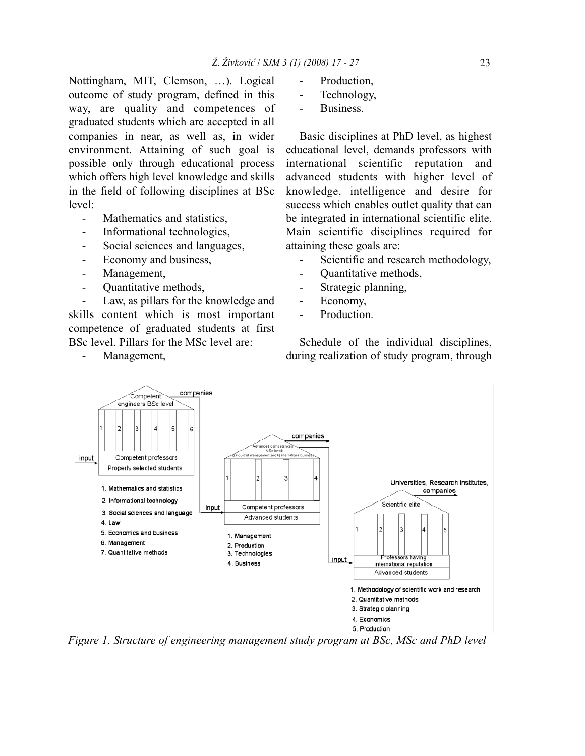Nottingham, MIT, Clemson, …). Logical outcome of study program, defined in this way, are quality and competences of graduated students which are accepted in all companies in near, as well as, in wider environment. Attaining of such goal is possible only through educational process which offers high level knowledge and skills in the field of following disciplines at BSc level:

- Mathematics and statistics,
- Informational technologies.
- Social sciences and languages,
- Economy and business,
- Management,
- Quantitative methods,

Law, as pillars for the knowledge and skills content which is most important competence of graduated students at first BSc level. Pillars for the MSc level are:

Management,

- Production,
- Technology,
- Business.

Basic disciplines at PhD level, as highest educational level, demands professors with international scientific reputation and advanced students with higher level of knowledge, intelligence and desire for success which enables outlet quality that can be integrated in international scientific elite. Main scientific disciplines required for attaining these goals are:

- Scientific and research methodology,
- Quantitative methods,
- Strategic planning,
- Economy,
- Production.

Schedule of the individual disciplines, during realization of study program, through



*Figure 1. Structure of engineering management study program at BSc, MSc and PhD level*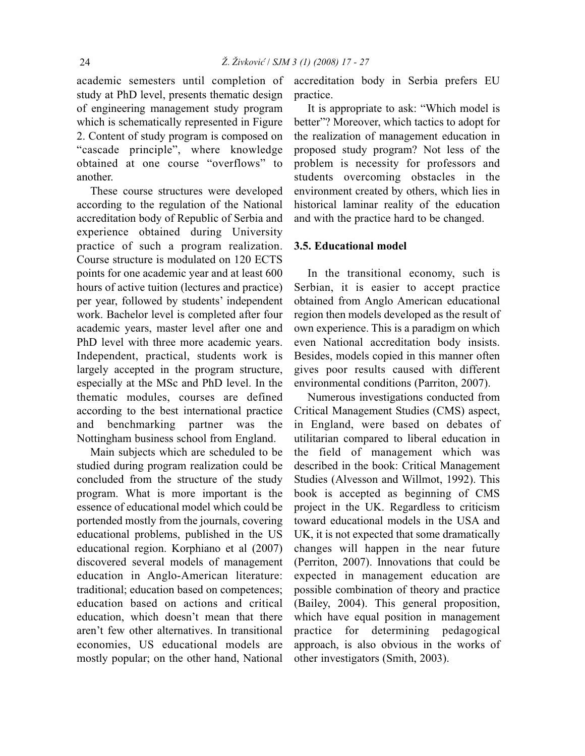academic semesters until completion of study at PhD level, presents thematic design of engineering management study program which is schematically represented in Figure 2. Content of study program is composed on "cascade principle", where knowledge obtained at one course "overflows" to another.

These course structures were developed according to the regulation of the National accreditation body of Republic of Serbia and experience obtained during University practice of such a program realization. Course structure is modulated on 120 ECTS points for one academic year and at least 600 hours of active tuition (lectures and practice) per year, followed by students' independent work. Bachelor level is completed after four academic years, master level after one and PhD level with three more academic years. Independent, practical, students work is largely accepted in the program structure, especially at the MSc and PhD level. In the thematic modules, courses are defined according to the best international practice and benchmarking partner was the Nottingham business school from England.

Main subjects which are scheduled to be studied during program realization could be concluded from the structure of the study program. What is more important is the essence of educational model which could be portended mostly from the journals, covering educational problems, published in the US educational region. Korphiano et al (2007) discovered several models of management education in Anglo-American literature: traditional; education based on competences; education based on actions and critical education, which doesn't mean that there aren't few other alternatives. In transitional economies, US educational models are mostly popular; on the other hand, National accreditation body in Serbia prefers EU practice.

It is appropriate to ask: "Which model is better"? Moreover, which tactics to adopt for the realization of management education in proposed study program? Not less of the problem is necessity for professors and students overcoming obstacles in the environment created by others, which lies in historical laminar reality of the education and with the practice hard to be changed.

#### **3.5. Educational model**

In the transitional economy, such is Serbian, it is easier to accept practice obtained from Anglo American educational region then models developed as the result of own experience. This is a paradigm on which even National accreditation body insists. Besides, models copied in this manner often gives poor results caused with different environmental conditions (Parriton, 2007).

Numerous investigations conducted from Critical Management Studies (CMS) aspect, in England, were based on debates of utilitarian compared to liberal education in the field of management which was described in the book: Critical Management Studies (Alvesson and Willmot, 1992). This book is accepted as beginning of CMS project in the UK. Regardless to criticism toward educational models in the USA and UK, it is not expected that some dramatically changes will happen in the near future (Perriton, 2007). Innovations that could be expected in management education are possible combination of theory and practice (Bailey, 2004). This general proposition, which have equal position in management practice for determining pedagogical approach, is also obvious in the works of other investigators (Smith, 2003).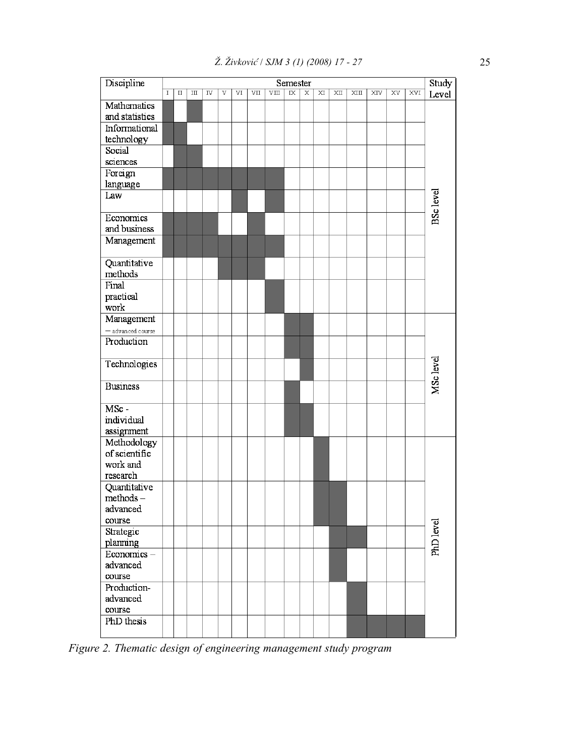| Discipline                    | Semester    |         |                        |    |   |    |     |    |                |   |    |    |      | Study |    |     |                  |  |  |
|-------------------------------|-------------|---------|------------------------|----|---|----|-----|----|----------------|---|----|----|------|-------|----|-----|------------------|--|--|
|                               | $\mathbf I$ | $\;$ II | $\mathbb{I}\mathbb{I}$ | IV | V | VI | VII | VШ | $\overline{K}$ | Χ | XI | XШ | XIII | XIV   | XV | XVI | Level            |  |  |
| Mathematics<br>and statistics |             |         |                        |    |   |    |     |    |                |   |    |    |      |       |    |     |                  |  |  |
| Informational                 |             |         |                        |    |   |    |     |    |                |   |    |    |      |       |    |     |                  |  |  |
| technology                    |             |         |                        |    |   |    |     |    |                |   |    |    |      |       |    |     |                  |  |  |
| Social                        |             |         |                        |    |   |    |     |    |                |   |    |    |      |       |    |     |                  |  |  |
| sciences                      |             |         |                        |    |   |    |     |    |                |   |    |    |      |       |    |     |                  |  |  |
| Foreign<br>language           |             |         |                        |    |   |    |     |    |                |   |    |    |      |       |    |     |                  |  |  |
| Law                           |             |         |                        |    |   |    |     |    |                |   |    |    |      |       |    |     |                  |  |  |
|                               |             |         |                        |    |   |    |     |    |                |   |    |    |      |       |    |     |                  |  |  |
| Economics                     |             |         |                        |    |   |    |     |    |                |   |    |    |      |       |    |     | <b>BSc</b> level |  |  |
| and business                  |             |         |                        |    |   |    |     |    |                |   |    |    |      |       |    |     |                  |  |  |
| Management                    |             |         |                        |    |   |    |     |    |                |   |    |    |      |       |    |     |                  |  |  |
| Quantitative                  |             |         |                        |    |   |    |     |    |                |   |    |    |      |       |    |     |                  |  |  |
| methods                       |             |         |                        |    |   |    |     |    |                |   |    |    |      |       |    |     |                  |  |  |
| Final                         |             |         |                        |    |   |    |     |    |                |   |    |    |      |       |    |     |                  |  |  |
| practical<br>work             |             |         |                        |    |   |    |     |    |                |   |    |    |      |       |    |     |                  |  |  |
| Management                    |             |         |                        |    |   |    |     |    |                |   |    |    |      |       |    |     |                  |  |  |
| - advanced course             |             |         |                        |    |   |    |     |    |                |   |    |    |      |       |    |     | MSc level        |  |  |
| Production                    |             |         |                        |    |   |    |     |    |                |   |    |    |      |       |    |     |                  |  |  |
|                               |             |         |                        |    |   |    |     |    |                |   |    |    |      |       |    |     |                  |  |  |
| Technologies                  |             |         |                        |    |   |    |     |    |                |   |    |    |      |       |    |     |                  |  |  |
| <b>Business</b>               |             |         |                        |    |   |    |     |    |                |   |    |    |      |       |    |     |                  |  |  |
| $\overline{\text{MSc}}$ -     |             |         |                        |    |   |    |     |    |                |   |    |    |      |       |    |     |                  |  |  |
| individual                    |             |         |                        |    |   |    |     |    |                |   |    |    |      |       |    |     |                  |  |  |
| assignment                    |             |         |                        |    |   |    |     |    |                |   |    |    |      |       |    |     |                  |  |  |
| Methodology                   |             |         |                        |    |   |    |     |    |                |   |    |    |      |       |    |     |                  |  |  |
| of scientific                 |             |         |                        |    |   |    |     |    |                |   |    |    |      |       |    |     |                  |  |  |
| work and                      |             |         |                        |    |   |    |     |    |                |   |    |    |      |       |    |     |                  |  |  |
| research<br>Quantitative      |             |         |                        |    |   |    |     |    |                |   |    |    |      |       |    |     |                  |  |  |
| $methods -$                   |             |         |                        |    |   |    |     |    |                |   |    |    |      |       |    |     |                  |  |  |
| advanced                      |             |         |                        |    |   |    |     |    |                |   |    |    |      |       |    |     |                  |  |  |
| course                        |             |         |                        |    |   |    |     |    |                |   |    |    |      |       |    |     |                  |  |  |
| Strategic                     |             |         |                        |    |   |    |     |    |                |   |    |    |      |       |    |     |                  |  |  |
| planning                      |             |         |                        |    |   |    |     |    |                |   |    |    |      |       |    |     | PhD level        |  |  |
| Economics-                    |             |         |                        |    |   |    |     |    |                |   |    |    |      |       |    |     |                  |  |  |
| advanced                      |             |         |                        |    |   |    |     |    |                |   |    |    |      |       |    |     |                  |  |  |
| course                        |             |         |                        |    |   |    |     |    |                |   |    |    |      |       |    |     |                  |  |  |
| Production-                   |             |         |                        |    |   |    |     |    |                |   |    |    |      |       |    |     |                  |  |  |
| advanced                      |             |         |                        |    |   |    |     |    |                |   |    |    |      |       |    |     |                  |  |  |
| course                        |             |         |                        |    |   |    |     |    |                |   |    |    |      |       |    |     |                  |  |  |
| PhD thesis                    |             |         |                        |    |   |    |     |    |                |   |    |    |      |       |    |     |                  |  |  |
|                               |             |         |                        |    |   |    |     |    |                |   |    |    |      |       |    |     |                  |  |  |

*Figure 2. Thematic design of engineering management study program*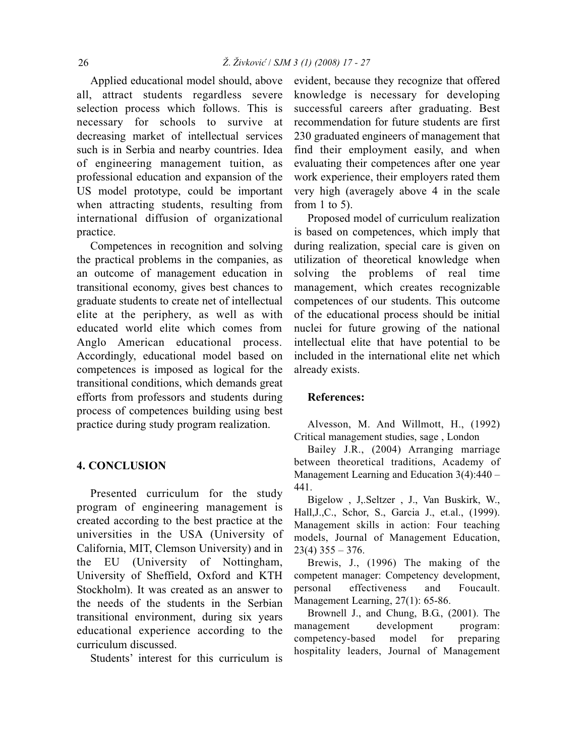Applied educational model should, above all, attract students regardless severe selection process which follows. This is necessary for schools to survive at decreasing market of intellectual services such is in Serbia and nearby countries. Idea of engineering management tuition, as professional education and expansion of the US model prototype, could be important when attracting students, resulting from international diffusion of organizational practice.

Competences in recognition and solving the practical problems in the companies, as an outcome of management education in transitional economy, gives best chances to graduate students to create net of intellectual elite at the periphery, as well as with educated world elite which comes from Anglo American educational process. Accordingly, educational model based on competences is imposed as logical for the transitional conditions, which demands great efforts from professors and students during process of competences building using best practice during study program realization.

# **4. CONCLUSION**

Presented curriculum for the study program of engineering management is created according to the best practice at the universities in the USA (University of California, MIT, Clemson University) and in the EU (University of Nottingham, University of Sheffield, Oxford and KTH Stockholm). It was created as an answer to the needs of the students in the Serbian transitional environment, during six years educational experience according to the curriculum discussed.

Students' interest for this curriculum is

evident, because they recognize that offered knowledge is necessary for developing successful careers after graduating. Best recommendation for future students are first 230 graduated engineers of management that find their employment easily, and when evaluating their competences after one year work experience, their employers rated them very high (averagely above 4 in the scale from 1 to 5).

Proposed model of curriculum realization is based on competences, which imply that during realization, special care is given on utilization of theoretical knowledge when solving the problems of real time management, which creates recognizable competences of our students. This outcome of the educational process should be initial nuclei for future growing of the national intellectual elite that have potential to be included in the international elite net which already exists.

#### **References:**

Alvesson, M. And Willmott, H., (1992) Critical management studies, sage , London

Bailey J.R., (2004) Arranging marriage between theoretical traditions, Academy of Management Learning and Education 3(4):440 – 441.

Bigelow , J,.Seltzer , J., Van Buskirk, W., Hall,J.,C., Schor, S., Garcia J., et.al., (1999). Management skills in action: Four teaching models, Journal of Management Education,  $23(4)$   $355 - 376$ .

Brewis, J., (1996) The making of the competent manager: Competency development, personal effectiveness and Foucault. Management Learning, 27(1): 65-86.

Brownell J., and Chung, B.G., (2001). The management development program: competency-based model for preparing hospitality leaders, Journal of Management